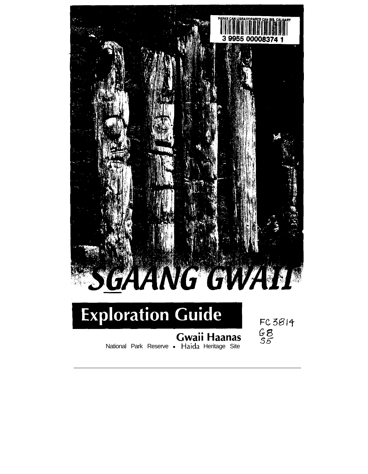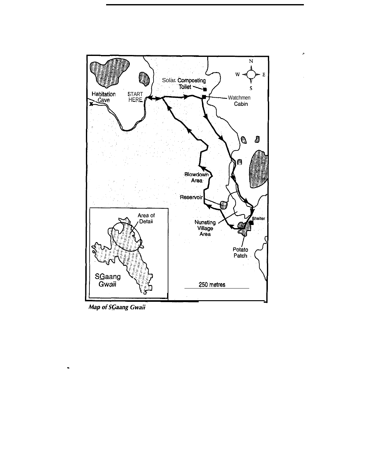

 $\theta$ 

Map of SGaang Gwaii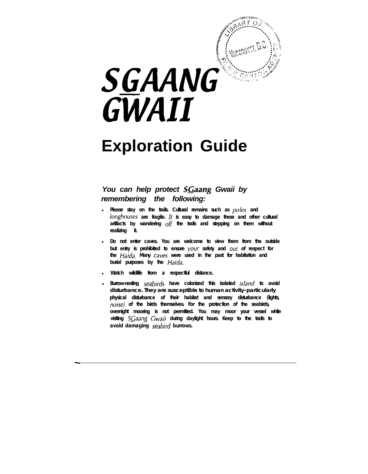

# **Exploration Guide**

## *You can help protect SGaang Gwaii by remembering the following:*

- <sup>l</sup> *Please stay on the trails. Cultural remains such as poles and longhouses are fragile. It is easy to damage these and other cultural artifacts by wandering off the trails and stepping on them without realizing it.*
- <sup>l</sup> *Do not enter caves. You are welcome to view them from the outside but entry is prohibited to ensure your safety and out of respect for the Haida. Many caves were used in the past for habitation and burial purposes by the Haida.*
- <sup>l</sup> *Watch wildlife from a respectful distance.*

-.

<sup>l</sup> *Burrow-nesting seabirds have colonized this isolated island to avoid disturbance. They are susceptible to human activity-particularly physical disturbance of their habitat and sensory disturbance (lights, no;se) of the birds themselves. For the protection of the seabirds, overnight mooring is not permitted. You may moor your vessel while visiting SGaang Gwaii during daylight hours. Keep to the trails to avoid damaging seabird burrows.*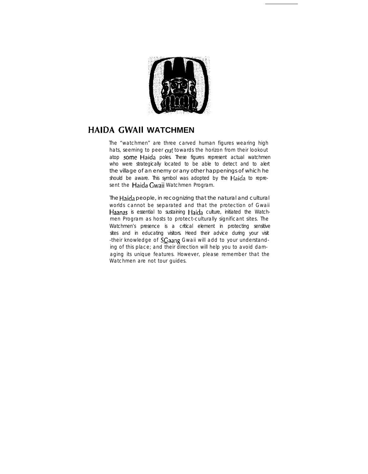

# **HAIDA CWAII WATCHMEN**

The "watchmen" are three carved human figures wearing high hats, seeming to peer out towards the horizon from their lookout atop some Haida poles. These figures represent actual watchmen who were strategically located to be able to detect and to alert the village of an enemy or any other happenings of which he should be aware. This symbol was adopted by the Haida to represent the Haida Gwaii Watchmen Program.

The Haida people, in recognizing that the natural and cultural worlds cannot be separated and that the protection of Gwaii Haanas is essential to sustaining Haida culture, initiated the Watchmen Program as hosts to protect-culturally significant sites. The Watchmen's presence is a critical element in protecting sensitive sites and in educating visitors. Heed their advice during your visit -their knowledge of SCaang Gwaii will add to your understanding of this place; and their direction will help you to avoid damaging its unique features. However, please remember that the Watchmen are not tour guides.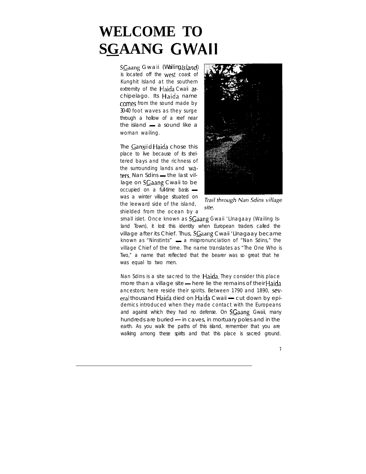# **WELCOME TO SGAANG GWAII**

SGaang Gwaii *(Wailing Island)* is located off the west coast of Kunghit Island at the southern extremity of the Haida Cwaii archipelago. Its Haida name comes from the sound made by *30-40* foot waves as they surge through a hollow of a reef near<br>the island — a sound like a woman wailing.

The Ganxiid Haida chose this place to live because of its sheltered bays and the richness of the surrounding lands and Wa-<br>ters. Nan Sdins — the last village on SCaang Cwaii to be  $occupied$  on a full-time basis  $$ was a winter village situated on the leeward side of the island, shielded from the ocean by a



Trail through Nan Sdins village site.

small islet. Once known as SGaang Gwaii 'Llnagaay (Wailing Island Town), it lost this identity when European traders called the village after its Chief. Thus, SGaang Cwaii 'Llnagaay became known as "Ninstints"  $-$  a mispronunciation of "Nan Sdins," the village Chief of the time. The name translates as "The One Who is Two," a name that reflected that the bearer was so great that he was equal to two men.

Nan Sdins is a site sacred to the Haida. They consider this place more than a village site - here lie the remains of their Haida ancestors; here reside their spirits. Between 1790 and 1890, several thousand Haida died on Haida Cwaii - cut down by epidemics introduced when they made contact with the Europeans and against which they had no defense. On  $SGaang$  Gwaii, many hundreds are buried  $-$  in caves, in mortuary poles and in the earth. As you walk the paths of this island, remember that you are walking among these spirits and that this place is sacred ground.

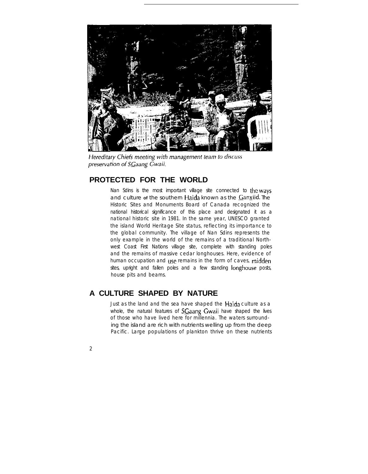

Hereditary Chiefs meeting with management team to discuss preservation of SGaang Gwaii.

#### **PROTECTED FOR THE WORLD**

Nan Sdins is the most important village site connected to the ways and culture **of** the southern Haida known as the Ganxiid. The Historic Sites and Monuments Board of Canada recognized the national historical significance of this place and designated it as a national historic site in 1981. In the same year, UNESCO granted the island World Heritage Site status, reflecting its importance to the global community. The village of Nan Sdins represents the only example in the world of the remains of a traditional Northwest Coast First Nations village site, complete with standing poles and the remains of massive cedar longhouses. Here, evidence of human occupation and use remains in the form of caves, midden sites, upright and fallen poles and a few standing longhouse posts, house pits and beams.

## **A CULTURE SHAPED BY NATURE**

Just as the land and the sea have shaped the Haida culture as a whole, the natural features of  $SGa$ ang Gwaii have shaped the lives of those who have lived here for millennia. The waters surrounding the island are rich with nutrients welling up from the deep Pacific. Large populations of plankton thrive on these nutrients

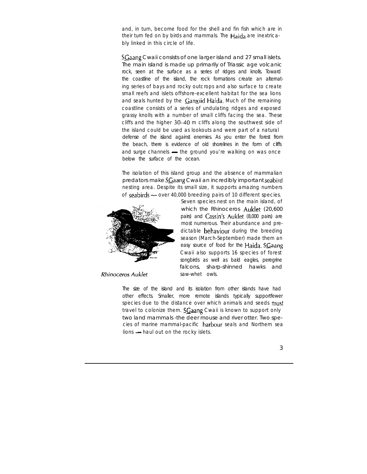and, in turn, become food for the shell and fin fish which are in their turn fed on by birds and mammals. The Haida are inextricably linked in this circle of life.

SGaang Cwaii consists of one larger island and 27 small islets. The main island is made up primarily of Triassic age volcanic rock, seen at the surface as a series of ridges and knolls. Toward the coastline of the island, the rock formations create an alternating series of bays and rocky outcrops and also surface to create small reefs and islets offshore-excellent habitat for the sea lions and seals hunted by the  $\frac{Ganx}{id}$  Haida. Much of the remaining coastline consists of a series of undulating ridges and exposed grassy knolls with a number of small cliffs facing the sea. These cliffs and the higher 30-40 m cliffs along the southwest side of the island could be used as lookouts and were part of a natural defense of the island against enemies. As you enter the forest from the beach, there is evidence of old shorelines in the form of cliffs and surge channels  $-$  the ground you're walking on was once below the surface of the ocean.

The isolation of this island group and the absence of mammalian predators make SGaang Cwaii an incredibly important seabird nesting area. Despite its small size, it supports amazing numbers<br>of **seabirds** - over 40,000 breeding pairs of 10 different species.



**Rhinoceros Auklet** 

Seven species nest on the main island, of which the Rhinoceros Auklet (20,600 pairs) and Cassin's Auklet (8,000 pairs) are most numerous. Their abundance and predictable **behaviour** during the breeding season (March-September) made them an easy source of food for the Haida. SGaang Cwaii also supports 16 species of forest songbirds as well as bald eagles, peregrine falcons, sharp-shinned hawks and saw-whet owls.

The size of the island and its isolation from other islands have had other effects. Smaller, more remote islands typically supportfewer species due to the distance over which animals and seeds must travel to colonize them. SGaang Cwaii is known to support only two land mammals -the deer mouse and river otter. Two species of marine mammal-pacific harbour seals and Northern sea lions - haul out on the rocky islets.

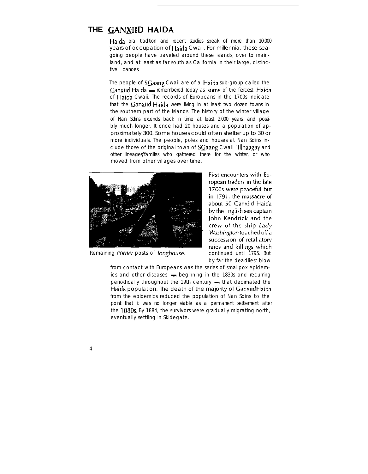# **THE CANXIID HAIDA**

Haida oral tradition and recent studies speak of more than 10,000 years of occupation of Haida Cwaii. For millennia, these seagoing people have traveled around these islands, over to mainland, and at least as far south as California in their large, distinctive canoes.

The people of  $SGa$ ang Cwaii are of a Haida sub-group called the Ganxiid Haida — remembered today as some of the fiercest Haida of Haida Cwaii. The records of Europeans in the 1700s indicate that the  $\frac{G}{dx}$  Haida were living in at least two dozen towns in the southern part of the islands. The history of the winter village of Nan Sdins extends back in time at least 2,000 years, and possibly much longer. It once had 20 houses and a population of approximately 300. Some houses could often shelter up to 30 or more individuals. The people, poles and houses at Nan Sdins include those of the original town of **SGaang** Cwaii 'Illnaagay and other lineages/families who gathered there for the winter, or who moved from other villages over time.



*Remaining comer posts of longhouse.* continued until 1795. But

First encounters with European traders in the late 1700s were peaceful but in 1791, the massacre of about 50 Ganxiid Haida by the English sea captain John Kendrick and the crew of the ship Lady Washington touched off a succession of retaliatory raids and killings which by far the deadliest blow

from contact with Europeans was the series of smallpox epidemics and other diseases - beginning in the 1830s and recurring periodically throughout the 19th century  $-$  that decimated the Haida population. The death of the majority of  $\mathcal{G}$ anxiid Haida from the epidemics reduced the population of Nan Sdins *to* the point that it was no longer viable as a permanent settlement after the 1880s. By 1884, the survivors were gradually migrating north, eventually settling in Skidegate.

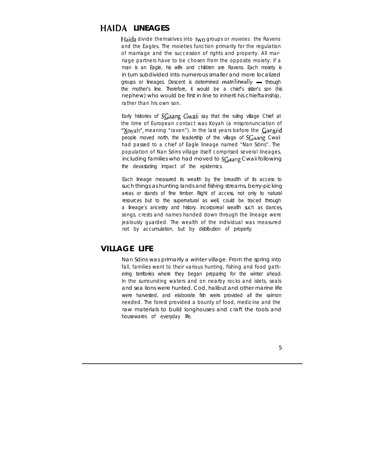# **HAIDA LINEAGES**

Haida divide themselves into two groups or *moieties:* the Ravens and the Eagles. The moieties function primarily for the regulation of marriage and the succession of rights and property. All marriage partners have to be chosen from the opposite moiety: if a man is an Eagle, his wife and children are Ravens. Each moiety is in turn subdivided into numerous smaller and more localized groups or lineages. Descent is determined matrilineally  $-$  through the mother's line. Therefore, it would be a chief's sister's son (his nephew) who would be first in line to inherit his chieftainship, rather than his own son.

Early histories of SGaang Gwaii say that the ruling village Chief at the time of European contact was Koyah (a mispronunciation of "Xoyah", meaning "raven"). In the last years before the **Canxiid** people moved north, the leadership of the village of SCaang Cwaii had passed to a chief of Eagle lineage named "Nan Sdins". The population of Nan Sdins village itself comprised several lineages, including families who had moved to SGaang Cwaii following the devastating impact of the epidemics.

Each lineage measured its wealth by the breadth of its access to such things as hunting lands and fishing streams, berry-picking areas or stands of fine timber. Right of access, not only to natural resources but to the supernatural as well, could be traced through a lineage's ancestry and history. incorporeal wealth such as dances, songs, crests and names handed down through the lineage were jealously guarded. The wealth of the individual was measured not by accumulation, but by distribution of property.

#### **VILLAGE LIFE**

Nan Sdins was primarily a winter village. From the spring into fall, families went to their various hunting, fishing and food gathering territories where they began preparing for the winter ahead. In the surrounding waters and on nearby rocks and islets, seals and sea lions were hunted. Cod, halibut and other marine life were harvested, and elaborate fish weirs provided all the salmon needed. The forest provided a bounty of food, medicine and the raw materials to build longhouses and craft the tools and housewares of everyday life.

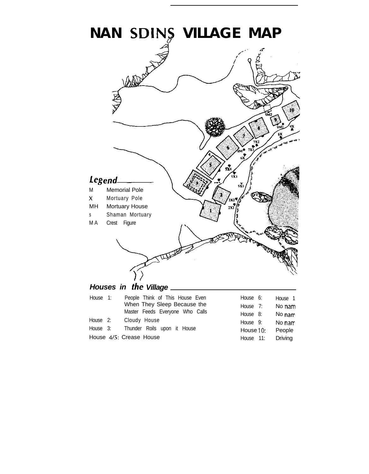

House 4/5: Crease House

| House 7:  | No nam  |
|-----------|---------|
| House 8:  | No nam  |
| House 9:  | No nam  |
| House 10: | People  |
| House 11: | Driving |
|           |         |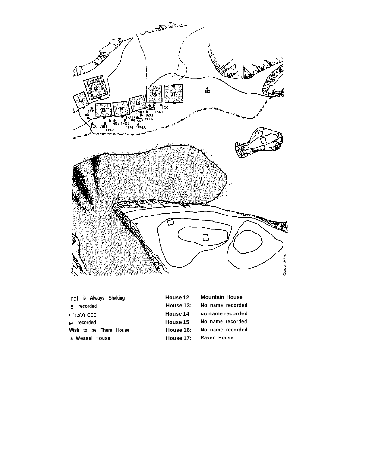

| hat is Always Shaking  | House 12: | Mountain House   |
|------------------------|-----------|------------------|
| recorded<br>е.         | House 13: | No name recorded |
| $\therefore$ recorded  | House 14: | No name recorded |
| recorded<br>۱e         | House 15: | No name recorded |
| Wish to be There House | House 16: | No name recorded |
| a Weasel House         | House 17: | Raven House      |
|                        |           |                  |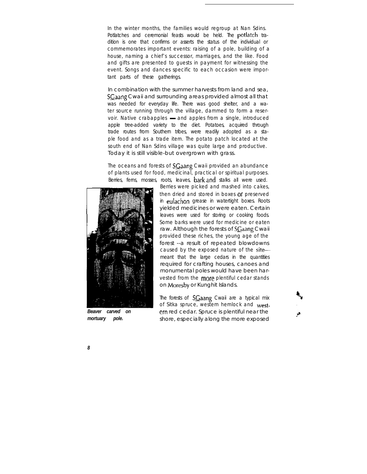In the winter months, the families would regroup at Nan Sdins. Potlatches and ceremonial feasts would be held. The potlatch tradition is one that confirms or asserts the status of the individual or commemorates important events: raising of a pole, building of a house, naming a chief's successor, marriages, and the like. Food and gifts are presented to guests in payment for witnessing the event. Songs and dances specific to each occasion were important parts of these gatherings.

In combination with the summer harvests from land and sea, SGaang Cwaii and surrounding areas provided almost all that was needed for everyday life. There was good shelter, and a water source running through the village, dammed to form a reservoir. Native crabapples - and apples from a single, introduced apple tree-added variety to the diet. Potatoes, acquired through trade routes from Southern tribes, were readily adopted as a staple food and as a trade item. The potato patch located at the south end of Nan Sdins village was quite large and productive. Today it is still visible-but overgrown with grass.

The oceans and forests of SGaang Cwaii provided an abundance of plants used for food, medicinal, practical or spiritual purposes. Berries, ferns, mosses, roots, leaves, barkand stalks all were used.



*Beaver carved on mortuary pole.*

Berries were picked and mashed into cakes, then dried and stored in boxes or preserved in eulachon grease in watertight boxes. Roots yielded medicines or were eaten. Certain leaves were used for storing or cooking foods. Some barks were used for medicine or eaten raw. Although the forests of SGaang Cwaii provided these riches, the young age of the forest --a result of repeated blowdowns caused by the exposed nature of the sitemeant that the large cedars in the quantities required for crafting houses, canoes and monumental poles would have been harvested from the more plentiful cedar stands on Moresby or Kunghit Islands.

The forests of  $SGa$ ang Cwaii are a typical mix of Sitka spruce, western hemlock and westem red cedar. Spruce is plentiful near the shore, especially along the more exposed

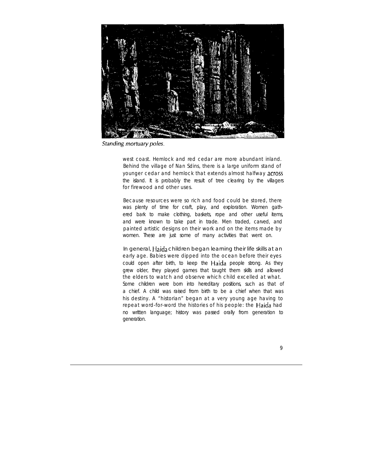

Standing mortuary poles.

west coast. Hemlock and red cedar are more abundant inland. Behind the village of Nan Sdins, there is a large uniform stand of younger cedar and hemlock that extends almost halfway across the island. It is probably the result of tree clearing by the villagers for firewood and other uses.

Because resources were so rich and food could be stored, there was plenty of time for craft, play, and exploration. Women gathered bark to make clothing, baskets, rope and other useful items, and were known to take part in trade. Men traded, carved, and painted artistic designs on their work and on the items made by women. These are just some of many activities that went on.

In general, Haida children began learning their life skills at an early age. Babies were dipped into the ocean before their eyes could open after birth, to keep the Haida people strong. As they grew older, they played games that taught them skills and allowed the elders to watch and observe which child excelled at what. Some children were born into hereditary positions, such as that of a chief. A child was raised from birth to be a chief when that was his destiny. A "historian" began at a very young age having to repeat word-for-word the histories of his people: the Haida had no written language; history was passed orally from generation to generation.

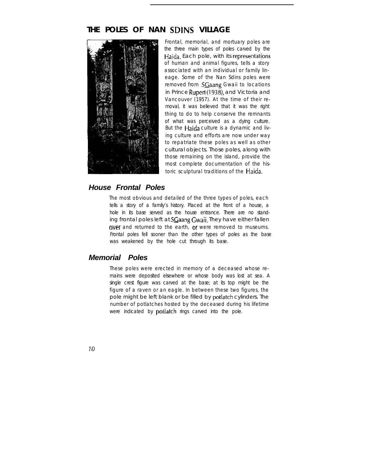### **THE POLES OF NAN SDINS VILLAGE**



Frontal, memorial, and mortuary poles are the three main types of poles carved by the Haida. Each pole, with its representations of human and animal figures, tells a story associated with an individual or family lineage. Some of the Nan Sdins poles were removed from SGaang Gwaii to locations in Prince Rupert (1938), and Victoria and Vancouver (1957). At the time of their removal, it was believed that it was the right thing to do to help conserve the remnants of what was perceived as a dying culture. But the Haida culture is a dynamic and living culture and efforts are now under way to repatriate these poles as well as other cultural objects. Those poles, along with those remaining on the island, provide the most complete documentation of the historic sculptural traditions of the Haida.

#### *House Frontal Poles*

The most obvious and detailed of the three types of poles, each tells a story of a family's history. Placed at the front of a house, a hole in its base served as the house entrance. There are no standing frontal poles left at SCaang Gwaii. They have either fallen over and returned to the earth, or were removed to museums. Frontal poles fell sooner than the other types of poles as the base was weakened by the hole cut through its base.

#### *Memorial Poles*

These poles were erected in memory of a deceased whose remains were deposited elsewhere or whose body was lost at sea. A single crest figure was carved at the base; at its top might be the figure of a raven or an eagle. In between these two figures, the pole might be left blank or be filled by potlatch cylinders. The number of potlatches hosted by the deceased during his lifetime were indicated by **potlatch** rings carved into the pole.

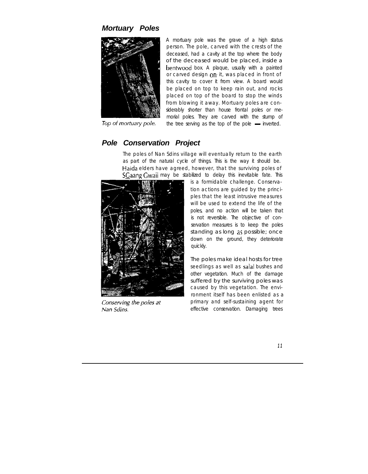#### *Mortuary Poles*



A mortuary pole was the grave of a high status person. The pole, carved with the crests of the deceased, had a cavity at the top where the body of the deceased would be placed, inside a bentwood box. A plaque, usually with a painted or carved design on it, was placed in front of this cavity to cover it from view. A board would be placed on top to keep rain out, and rocks placed on top of the board to stop the winds from blowing it away. Mortuary poles are considerably shorter than house frontal poles or memorial poles. They are carved with the stump of the tree serving as the top of the pole  $-$  inverted.

Top of mortuary pole.

#### *Pole Conservation Project*

The poles of Nan Sdins village will eventually return to the earth as part of the natural cycle of things. This is the way it should be. Haida elders have agreed, however, that the surviving poles of SCaang Gwaii may be stabilized to delay this inevitable fate. This



Conserving the poles at Nan Sdins.

is a formidable challenge. Conservation actions are guided by the principles that the least intrusive measures will be used to extend the life of the poles, and no action will be taken that is not reversible. The objective of conservation measures is to keep the poles standing as long as possible; once down on the ground, they deteriorate quickly.

The poles make ideal hosts for tree seedlings as well as salal bushes and other vegetation. Much of the damage suffered by the surviving poles was caused by this vegetation. The environment itself has been enlisted as a primary and self-sustaining agent for effective conservation. Damaging trees

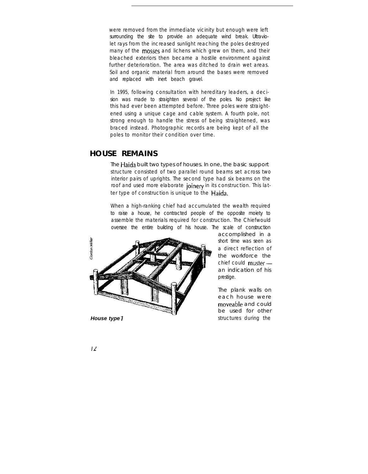were removed from the immediate vicinity but enough were left surrounding the site to provide an adequate wind break. Ultraviolet rays from the increased sunlight reaching the poles destroyed many of the **mosses** and lichens which grew on them, and their bleached exteriors then became a hostile environment against further deterioration. The area was ditched to drain wet areas. Soil and organic material from around the bases were removed and replaced with inert beach gravel.

In 1995, following consultation with hereditary leaders, a decision was made to straighten several of the poles. No project like this had ever been attempted before. Three poles were straightened using a unique cage and cable system. A fourth pole, not strong enough to handle the stress of being straightened, was braced instead. Photographic records are being kept of all the poles to monitor their condition over time.

#### **HOUSE REMAINS**

The Haida built two types of houses. In one, the basic support structure consisted of two parallel round beams set across two interior pairs of uprights. The second type had six beams on the roof and used more elaborate joinery in its construction. This latter type of construction is unique to the Haida.

When a high-ranking chief had accumulated the wealth required to raise a house, he contracted people of the opposite moiety to assemble the materials required for construction. The Chiefwould oversee the entire building of his house. The scale of construction



accomplished in a short time was seen as a direct reflection of the workforce the chief could  $muster$  an indication of his prestige.

The plank walls on each house were moveable and could be used for other structures during the

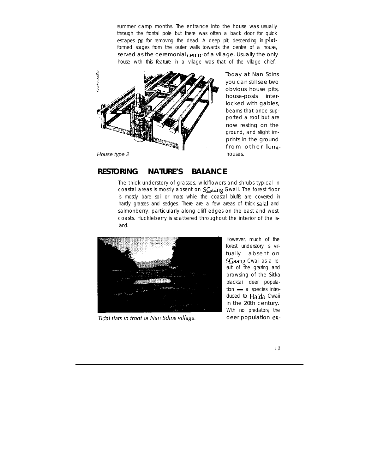summer camp months. The entrance into the house was usually through the frontal pole but there was often a back door for quick escapes or for removing the dead. A deep pit, descending in platformed stages from the outer walls towards the centre of a house, served as the ceremonial centre of a village. Usually the only house with this feature in a village was that of the village chief.



Today at Nan Sdins you can still see two obvious house pits, house-posts interlocked with gables, beams that once supported a roof but are now resting on the ground, and slight imprints in the ground from other longhouses.

### **RESTORING NATURE'S BALANCE**

The thick understory of grasses, wildflowers and shrubs typical in coastal areas is mostly absent on  $SGa$ ang Gwaii. The forest floor is mostly bare soil or moss while the coastal bluffs are covered in hardy grasses and sedges. There are a few areas of thick salal and salmonberry, particularly along cliff edges on the east and west coasts. Huckleberry is scattered throughout the interior of the island.



Tidal flats in front of Nan Sdins village.

However, much of the forest understory is virtually absent on SCaang Cwaii as a result of the grazing and browsing of the Sitka blacktail deer popula-<br>tion — a species introduced to Haida Cwaii in the 20th century. With no predators, the deer population ex-

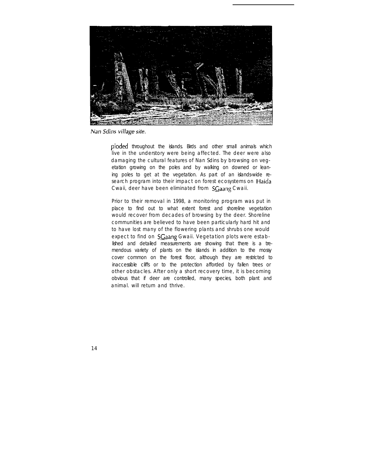

Nan Sdins village site.

ploded throughout the islands. Birds and other small animals which live in the understory were being affected. The deer were also damaging the cultural features of Nan Sdins by browsing on vegetation growing on the poles and by walking on downed or leaning poles to get at the vegetation. As part of an islands-wide research program into their impact on forest ecosystems on Haida Cwaii, deer have been eliminated from SCaang Cwaii.

Prior to their removal in 1998, a monitoring program was put in place to find out to what extent forest and shoreline vegetation would recover from decades of browsing by the deer. Shoreline communities are believed to have been particularly hard hit and to have lost many of the flowering plants and shrubs one would expect to find on SGaang Gwaii. Vegetation plots were established and detailed measurements are showing that there is a tremendous variety of plants on the islands in addition to the mossy cover common on the forest floor, although they are restricted to inaccessible cliffs or to the protection afforded by fallen trees or other obstacles. After only a short recovery time, it is becoming obvious that if deer are controlled, many species, both plant and animal. will return and thrive.

1 4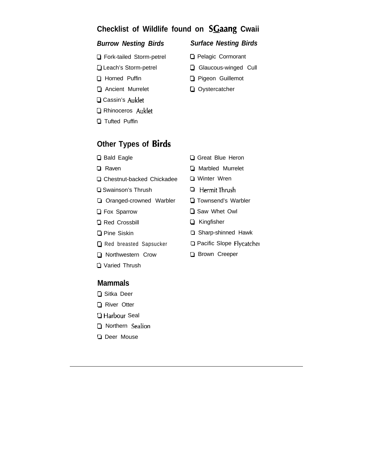# **Checklist of Wildlife found on SGaang Cwaii**

#### *Burrow Nesting Birds Surface Nesting Birds*

- Cl Fork-tailed Storm-petrel
- **Q** Leach's Storm-petrel
- **D** Horned Puffin
- **Q** Ancient Murrelet
- **Q** Cassin's Auklet
- Rhinoceros Auklet
- 0 Tufted Puffin

# **Other Types of Birds**

- **D** Bald Eagle
- 0 Raven
- **Q** Chestnut-backed Chickadee
- **Q** Swainson's Thrush
- **Q** Oranged-crowned Warbler
- **D** Fox Sparrow
- **Q** Red Crossbill
- **Q** Pine Siskin
- Red breasted Sapsucker
- **Q** Northwestern Crow
- O Varied Thrush

#### **Mammals**

- **Q** Sitka Deer
- **Q** River Otter
- 0 Harbour Seal
- O Northern Sealion
- **Q** Deer Mouse
- Great Blue Heron
- **D** Marbled Murrelet
- 0 Winter Wren
- 0 HermitThrush
- **Q** Townsend's Warbler
- **D** Saw Whet Owl
- Cl Kingfisher
- □ Sharp-shinned Hawk
- 0 Pacific Slope Flycatcher
- **D** Brown Creeper

- **Q** Pelagic Cormorant
- **Q** Glaucous-winged Cull
- Pigeon Guillemot
- **Q** Oystercatcher